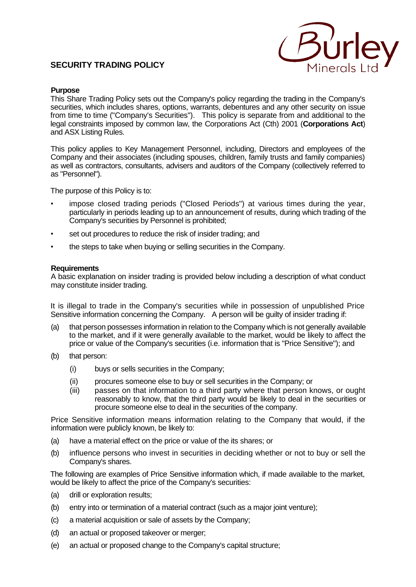# **SECURITY TRADING POLICY**



## **Purpose**

This Share Trading Policy sets out the Company's policy regarding the trading in the Company's securities, which includes shares, options, warrants, debentures and any other security on issue from time to time ("Company's Securities"). This policy is separate from and additional to the legal constraints imposed by common law, the Corporations Act (Cth) 2001 (**Corporations Act**) and ASX Listing Rules.

This policy applies to Key Management Personnel, including, Directors and employees of the Company and their associates (including spouses, children, family trusts and family companies) as well as contractors, consultants, advisers and auditors of the Company (collectively referred to as "Personnel").

The purpose of this Policy is to:

- impose closed trading periods ("Closed Periods") at various times during the year, particularly in periods leading up to an announcement of results, during which trading of the Company's securities by Personnel is prohibited;
- set out procedures to reduce the risk of insider trading; and
- the steps to take when buying or selling securities in the Company.

#### **Requirements**

A basic explanation on insider trading is provided below including a description of what conduct may constitute insider trading.

It is illegal to trade in the Company's securities while in possession of unpublished Price Sensitive information concerning the Company. A person will be guilty of insider trading if:

- (a) that person possesses information in relation to the Company which is not generally available to the market, and if it were generally available to the market, would be likely to affect the price or value of the Company's securities (i.e. information that is "Price Sensitive"); and
- (b) that person:
	- (i) buys or sells securities in the Company;
	- (ii) procures someone else to buy or sell securities in the Company; or
	- (iii) passes on that information to a third party where that person knows, or ought reasonably to know, that the third party would be likely to deal in the securities or procure someone else to deal in the securities of the company.

Price Sensitive information means information relating to the Company that would, if the information were publicly known, be likely to:

- (a) have a material effect on the price or value of the its shares; or
- (b) influence persons who invest in securities in deciding whether or not to buy or sell the Company's shares.

The following are examples of Price Sensitive information which, if made available to the market, would be likely to affect the price of the Company's securities:

- (a) drill or exploration results;
- (b) entry into or termination of a material contract (such as a major joint venture);
- (c) a material acquisition or sale of assets by the Company;
- (d) an actual or proposed takeover or merger;
- (e) an actual or proposed change to the Company's capital structure;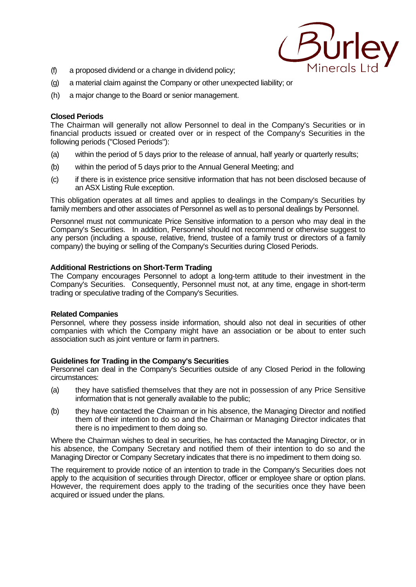

- (f) a proposed dividend or a change in dividend policy;
- (g) a material claim against the Company or other unexpected liability; or
- (h) a major change to the Board or senior management.

## **Closed Periods**

The Chairman will generally not allow Personnel to deal in the Company's Securities or in financial products issued or created over or in respect of the Company's Securities in the following periods ("Closed Periods"):

- (a) within the period of 5 days prior to the release of annual, half yearly or quarterly results;
- (b) within the period of 5 days prior to the Annual General Meeting; and
- (c) if there is in existence price sensitive information that has not been disclosed because of an ASX Listing Rule exception.

This obligation operates at all times and applies to dealings in the Company's Securities by family members and other associates of Personnel as well as to personal dealings by Personnel.

Personnel must not communicate Price Sensitive information to a person who may deal in the Company's Securities. In addition, Personnel should not recommend or otherwise suggest to any person (including a spouse, relative, friend, trustee of a family trust or directors of a family company) the buying or selling of the Company's Securities during Closed Periods.

# **Additional Restrictions on Short-Term Trading**

The Company encourages Personnel to adopt a long-term attitude to their investment in the Company's Securities. Consequently, Personnel must not, at any time, engage in short-term trading or speculative trading of the Company's Securities.

#### **Related Companies**

Personnel, where they possess inside information, should also not deal in securities of other companies with which the Company might have an association or be about to enter such association such as joint venture or farm in partners.

#### **Guidelines for Trading in the Company's Securities**

Personnel can deal in the Company's Securities outside of any Closed Period in the following circumstances:

- (a) they have satisfied themselves that they are not in possession of any Price Sensitive information that is not generally available to the public;
- (b) they have contacted the Chairman or in his absence, the Managing Director and notified them of their intention to do so and the Chairman or Managing Director indicates that there is no impediment to them doing so.

Where the Chairman wishes to deal in securities, he has contacted the Managing Director, or in his absence, the Company Secretary and notified them of their intention to do so and the Managing Director or Company Secretary indicates that there is no impediment to them doing so.

The requirement to provide notice of an intention to trade in the Company's Securities does not apply to the acquisition of securities through Director, officer or employee share or option plans. However, the requirement does apply to the trading of the securities once they have been acquired or issued under the plans.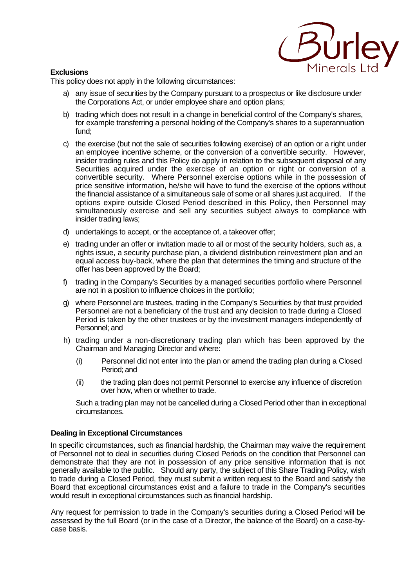

# **Exclusions**

This policy does not apply in the following circumstances:

- a) any issue of securities by the Company pursuant to a prospectus or like disclosure under the Corporations Act, or under employee share and option plans;
- b) trading which does not result in a change in beneficial control of the Company's shares, for example transferring a personal holding of the Company's shares to a superannuation fund;
- c) the exercise (but not the sale of securities following exercise) of an option or a right under an employee incentive scheme, or the conversion of a convertible security. However, insider trading rules and this Policy do apply in relation to the subsequent disposal of any Securities acquired under the exercise of an option or right or conversion of a convertible security. Where Personnel exercise options while in the possession of price sensitive information, he/she will have to fund the exercise of the options without the financial assistance of a simultaneous sale of some or all shares just acquired. If the options expire outside Closed Period described in this Policy, then Personnel may simultaneously exercise and sell any securities subject always to compliance with insider trading laws;
- d) undertakings to accept, or the acceptance of, a takeover offer;
- e) trading under an offer or invitation made to all or most of the security holders, such as, a rights issue, a security purchase plan, a dividend distribution reinvestment plan and an equal access buy-back, where the plan that determines the timing and structure of the offer has been approved by the Board;
- f) trading in the Company's Securities by a managed securities portfolio where Personnel are not in a position to influence choices in the portfolio;
- g) where Personnel are trustees, trading in the Company's Securities by that trust provided Personnel are not a beneficiary of the trust and any decision to trade during a Closed Period is taken by the other trustees or by the investment managers independently of Personnel; and
- h) trading under a non-discretionary trading plan which has been approved by the Chairman and Managing Director and where:
	- (i) Personnel did not enter into the plan or amend the trading plan during a Closed Period; and
	- (ii) the trading plan does not permit Personnel to exercise any influence of discretion over how, when or whether to trade.

Such a trading plan may not be cancelled during a Closed Period other than in exceptional circumstances.

#### **Dealing in Exceptional Circumstances**

In specific circumstances, such as financial hardship, the Chairman may waive the requirement of Personnel not to deal in securities during Closed Periods on the condition that Personnel can demonstrate that they are not in possession of any price sensitive information that is not generally available to the public. Should any party, the subject of this Share Trading Policy, wish to trade during a Closed Period, they must submit a written request to the Board and satisfy the Board that exceptional circumstances exist and a failure to trade in the Company's securities would result in exceptional circumstances such as financial hardship.

Any request for permission to trade in the Company's securities during a Closed Period will be assessed by the full Board (or in the case of a Director, the balance of the Board) on a case-bycase basis.